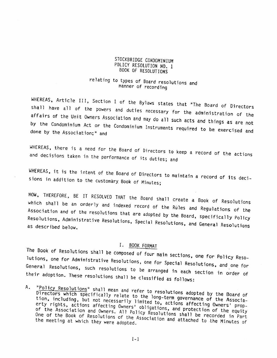# STOCKBRIDGE CONDOMINIUM<br>POLICY RESOLUTION NO. 1 BOOK OF RESOLUTIONS

# relating to types of Board resolutions and<br>manner of recording

WHEREAS, Article III, Section I of the Bylaws states that "The Board of Directors shall have all of the powers and duties necessary for the administration of the<br>affairs of the Unit Owners Association and may do all such a dministration of the affairs of the Unit Owners Association and may do all such acts and things as are not<br>by the Condominium Act or the Condomici done by the Association;" the Condominium Act or the Condominium Instruments required to be exercised and<br>e by the Association;" and

4HEREA5, there is <sup>a</sup> need for the Board of Directors to keep <sup>a</sup> record of the actions taken in the perforniance of its duties; and and decisions taken in the performance of its duties; and

WHEREAS, it is the intent of the Board of Directors to maintain a record of its deci-<br>sions in addition to the customary Book of Minutes;

which shall be an orderly and indexed record of the Rules and Regulations of the NOW, THEREFORE, BE IT RESOLVED THAT the Board shall create a Book of Resolutions<br>which shall be an orderly and indoxed was in Samil Association and of the resolutions that are adopted by the Board, specifically Policy<br>Resolutions, Administrative Bosslutics, Column Resolutions, Resolutions, Administrative Resolutions, Special Resolutions, and General Resolutions<br>as described below.

The Book of Resolutions shall be composed of four main sections, one for Policy Reso-Associa<br>Resolut<br>as desc:<br>The Book<br>lutions,<br>Seneral<br>their ad General Resolutions, such resolutions to be arranged in each section in order of These resolutions shall be classified as follows: one for Administrative Resolutions, one for Special Resolutions, and one for<br>lesolutions, such resolutions to be their adoption. These resolutions shall be classified as follows:

A. "Policy Resolutions" shall mean and refer to resolutions adopted by the Board of Directors which specifically relate to the long-term governance of the Associators which specifically relate to the long-term governance of the Associa-<br>including, but not necessarily limited to, actions affecting Owners' prop-<br>rights, actions affecting Owners' obligations and probability Owners' pr of the Association and Owners. Owners' obligations, and protection of the equity of the Association and Owners. All Policy Resolutions shall be recorded in Part One of the Book of Resolutions of the Association and attached to the Minutes of the meeting at which they were adopted. entiate Change and the Change of Pacifican Change and the Change of Pacifican Change and Since the Since the Since the Since the Since the Since the Since the Since the Since the Birls is the Change of Pacifican Since the

 $1-1$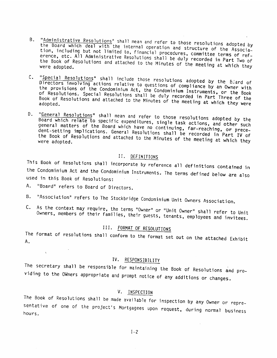- B. "Administrative Resolutions" shall mean and refer to those resolutions adopted by<br>the Board which deal with the internal operation and structure of the Association, including but not limited to, financial procedures, committee terms of refthe Book of Resolutions and attached to the Minutes of the meeting at which they<br>were adopted. etc. All Administrative Resolutions shall be duly recorded in Part Two of<br>of Resolutions and attached to the Minutos of the martin Part Two of were adopted. B. "Administrative Resolutions" shall mean and refer to those resolutions adopted by<br>the Board which deal with the internal operation and structure of the Associa-<br>tion, including but not limited to, financial procedures,
- C. Directors involving actions relative to questions of compliance by the Biard of<br>the provisions of the Condominium Act, the Condominium Instance by an Owner with "<u>Special Resolution</u>s" shall include those resolutions adopted by the Beard of<br>Directors involving actions relative to questions of complicity the Beard of the provisions of the Condominium Act, ene provisions of the Condominium Act, the Condominium Instruments, or the Book<br>of Resolutions. Special Resolutions shall be duly recorded in Part Three of the Book of Resolutions and attached to the Minutes of the meeting at which they were<br>adopted. shall be duly recorded in Part Three of the
- D. "General Resolutions" shall mean and refer to those resolutions adopted by the<br>Board which relate to specific expenditures, single task actions, and other such board which relate to specific expenditures, single task actions, and other such<br>general matters of the Board which have no continuing, far-reaching, or prece-<br>dent-setting implications, General Resolutions, thaling, far-r the Book of Resolutions dent-setting implications. General Resolutions shall be recorded in Part IV of the book of Resolutions and attached to the Minutes of the meeting at which they<br>were adopted. Directors iwno'ling actions relative to questions of complement by any actual of the provisions of the Condeniatom Act, the Condominium Instruments, or the simple to do the specifical Regalutions and attached to the Minute

II. DEFINITIONS<br>This Book of Resolutions shall incorporate by reference all definitions contained in the Condominium Act and the Condominium Instruments. The terms defined below are also used in this Book of Resolutions:

- A. "Board" refers to Board of Directors.
- B. "Association" refers to The Stockbridge Condominium Unit Owners Association.
- C. As the context may Owners, members of require, the terms "Owner" or "Unit Owner" shall refer to Unit<br>their families, their guests, tenants, employees and invitees.

## III. FORMAT OF RESOLUTIONS

The format of resolutions shall conform to the format set out on the attached Exhibit A.

## IV. RESPONSIBILITY

The secretary shall be responsible for maintaining the Book of Resolutions and providing to the OWners appropriate and prompt notice of any additions or changes.

V. INSPECTION<br>The Book of Resolutions shall be made available for inspection by any Owner or repre-Sentative of one of the project's Mortgagees upon request, during normal business<br>hours.

 $1-2$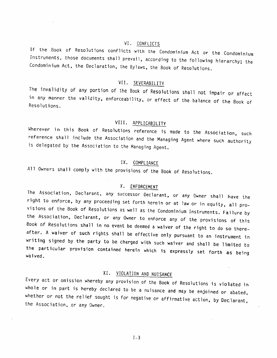VI. CONFLICTS<br>If the Book of Resolutions conflicts with the Condominium Act or the Condominium If the Book of Resolutions conflicts with the Condominium Act or the Condominium<br>Instruments, those documents shall prevail, according to the following hierarchy; the<br>Condominium Act, the Declaration, the Bylaws, the Book VI. CONFLICTS<br>If the Book of Resolutions conflicts with the Condominium Act or the Condominium<br>Instruments, those documents shall prevail, according to the following hierarchy; the<br>Condominium Act, the Declaration, the Byl

VII. SEVERABILITY<br>The invalidity of any portion of the Book of Resolutions shall not impair or affect in any manner the validity, enforceability, or effect of the balance of the Book of<br>Resolutions

## VIII. <u>APPLICABILITY</u>

Wherever in this Book of Resolutions reference is made to the Association, such<br>reference shall include the Association and the Managing Agent where such authority<br>is delegated by the Association to the Managing Agent. is delegated by the Association to the Managing Agent.

## lx. COMPLIANCE

All Owners shall comply with the provisions of the Book of Resolutions.

X. ENFORCEMENT<br>The Association, Declarant, any successor Declarant, or any Owner shall have the right to enforce, by any proceeding set forth herein or at law or in equity, all pro-<br>visions of the Book of Resolutions as well as the Condominium Instruments. Failure by<br>the Association, Declarant, or any Owner to enforc XX. COMPLIANCE<br>
XX. COMPLIANCE<br>
XX. <u>COMPLIANCE</u><br>
XX. <u>COMPLIANCE</u><br>
XX. <u>CHFORCEMENT</u><br>
XX. <u>CHFORCEMENT</u><br>
XX. <u>CHFORCEMENT</u><br>
XX. <u>CHFORCEMENT</u><br>
XX. CHFORCEMENT<br>
Tight to enforce, by any procession Declarant, or any Owner

XI. VIOLATION AND NUISANCE<br>Every act or omission whereby any provision of the Book of Resolutions is violated in whole or in part is hereby declared to be a nuisance and may be enjoined or abated, whether or not the relief sought is for negative or affirmative action, by Declarant, the Association, or any Owner.

 $1-3$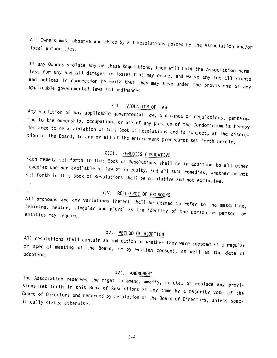All Owners must observe and abide by all Resolutions posted by the Association and/or local authorities,

less for any If any Owners violate any of these Regulations, they will hold the Association harm-<br>and all damages or losses that may ensue, and waive any and all rights<br>n connection borouith that .. applicable governmental laws and ordinances. and notices in connection herewith that they may have under the provisions of any<br>applicable governmental laws and ordinances, All Owners must observe and abide by all Resolutions posted by the Association and/or<br>local authorities.<br>If any Owners violate any of these Regulations, they will hold the Association harm-<br>less for any and all damages or

XII. <u>VIOLATION OF LAW</u><br>Any violation of any applicable governmental law, ordinance or regulations, pertain-<br>ing to the ownership, occupation, or use of any portion of the Condominium is hereby tior, of the Board, to any or to be a violation declared to be a violation of this Book of Resolutions and is subject, at the discre-<br>tion of the Board, to any or all of the enforcement procedures set forth herein.

XIII. REMEDIES CUMULATIVE<br>Each remedy set forth in this Book of Resolutions shall be in addition to all other<br>remedies whether available at law or in equity, and all such remedies, whether or not set all such all such remedies, whether or not forth in this Book of Resolutions shall be cumulative and not exclusive.

XIV. REFERENCE OF PRONOUNS<br>All pronouns and any variations thereof shall be deemed to refer to the masculine, entities may feminine, neuter, singular and plural as the identity of the person or persons or<br>entities may require.

XV. METHOD OF ADOPTION<br>All resolutions shall contain an indication of what or special meeting of the Board, or by written consent, as well as the date of<br>adoption. resolutions shall contain an indication of whether they were adopted at a regular adoption,

XVI. AMENDMENT<br>The Association reserves the right to amend, modify, delete, or replace any provi-<br>sions set forth in this Book of Resolutions at any time by a majority vote of the<br>Board of Directors and recorded by resolut XIII. <u>REMEDIES CUMULATIVE</u><br>
XIII. REMEDIES CUMULATIVE<br>
remedies whether available at law or in equity, and all such remedies, whether or not<br>
set forth in this Book of Resolutions shall be cumulative and not exclusive.<br>